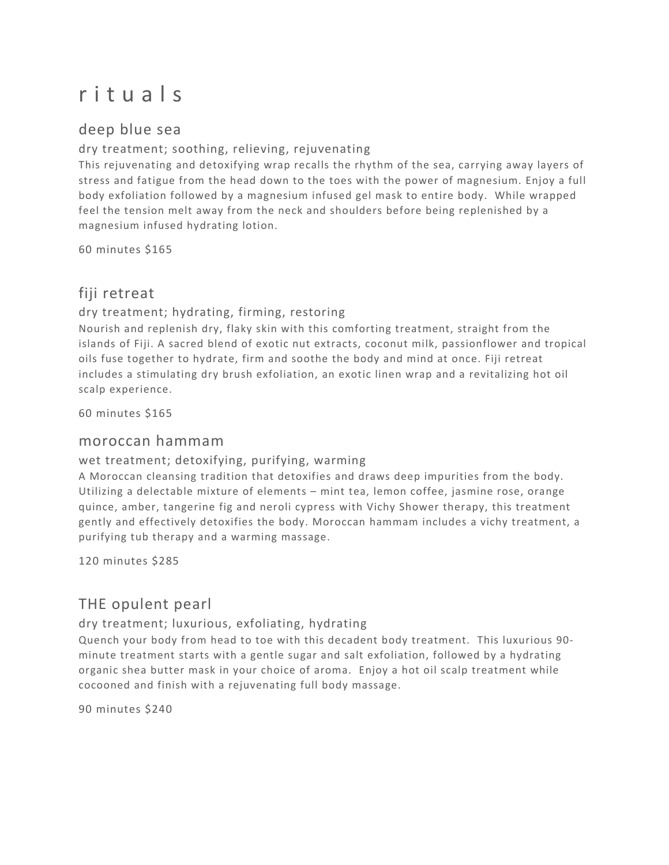# r i t u a l s

## deep blue sea

### dry treatment; soothing, relieving, rejuvenating

This rejuvenating and detoxifying wrap recalls the rhythm of the sea, carrying away layers of stress and fatigue from the head down to the toes with the power of magnesium. Enjoy a full body exfoliation followed by a magnesium infused gel mask to entire body. While wrapped feel the tension melt away from the neck and shoulders before being replenished by a magnesium infused hydrating lotion.

60 minutes \$165

## fiji retreat

### dry treatment; hydrating, firming, restoring

Nourish and replenish dry, flaky skin with this comforting treatment, straight from the islands of Fiji. A sacred blend of exotic nut extracts, coconut milk, passionflower and tropical oils fuse together to hydrate, firm and soothe the body and mind at once. Fiji retreat includes a stimulating dry brush exfoliation, an exotic linen wrap and a revitalizing hot oil scalp experience.

60 minutes \$165

## moroccan hammam

wet treatment; detoxifying, purifying, warming

A Moroccan cleansing tradition that detoxifies and draws deep impurities from the body. Utilizing a delectable mixture of elements – mint tea, lemon coffee, jasmine rose, orange quince, amber, tangerine fig and neroli cypress with Vichy Shower therapy, this treatment gently and effectively detoxifies the body. Moroccan hammam includes a vichy treatment, a purifying tub therapy and a warming massage.

120 minutes \$285

## THE opulent pearl

dry treatment; luxurious, exfoliating, hydrating

Quench your body from head to toe with this decadent body treatment. This luxurious 90 minute treatment starts with a gentle sugar and salt exfoliation, followed by a hydrating organic shea butter mask in your choice of aroma. Enjoy a hot oil scalp treatment while cocooned and finish with a rejuvenating full body massage.

90 minutes \$240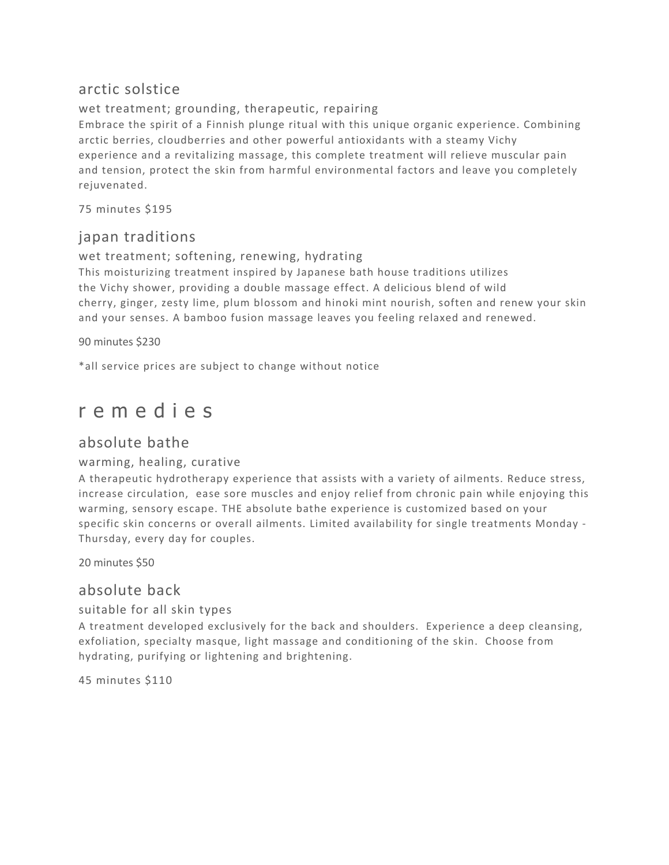## arctic solstice

wet treatment; grounding, therapeutic, repairing Embrace the spirit of a Finnish plunge ritual with this unique organic experience. Combining arctic berries, cloudberries and other powerful antioxidants with a steamy Vichy experience and a revitalizing massage, this complete treatment will relieve muscular pain and tension, protect the skin from harmful environmental factors and leave you completely rejuvenated.

75 minutes \$195

## japan traditions

wet treatment; softening, renewing, hydrating

This moisturizing treatment inspired by Japanese bath house traditions utilizes the Vichy shower, providing a double massage effect. A delicious blend of wild cherry, ginger, zesty lime, plum blossom and hinoki mint nourish, soften and renew your skin and your senses. A bamboo fusion massage leaves you feeling relaxed and renewed.

90 minutes \$230

\*all service prices are subject to change without notice

## r e m e d i e s

## absolute bathe

### warming, healing, curative

A therapeutic hydrotherapy experience that assists with a variety of ailments. Reduce stress, increase circulation, ease sore muscles and enjoy relief from chronic pain while enjoying this warming, sensory escape. THE absolute bathe experience is customized based on your specific skin concerns or overall ailments. Limited availability for single treatments Monday - Thursday, every day for couples.

20 minutes \$50

## absolute back

### suitable for all skin types

A treatment developed exclusively for the back and shoulders. Experience a deep cleansing, exfoliation, specialty masque, light massage and conditioning of the skin. Choose from hydrating, purifying or lightening and brightening.

45 minutes \$110